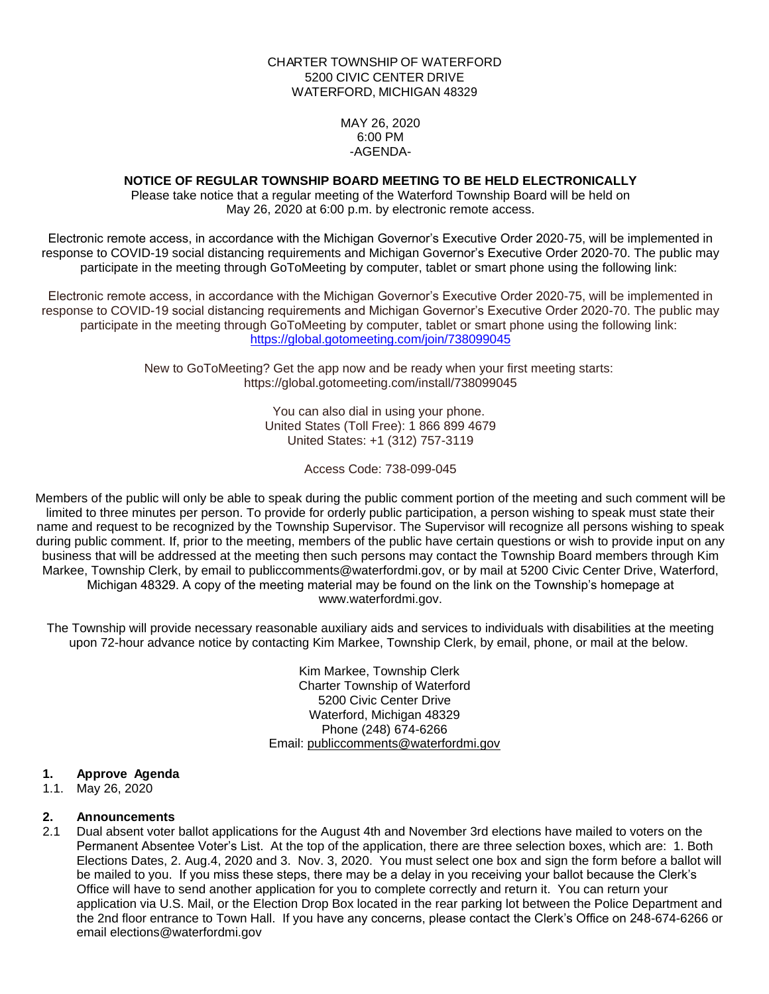#### CHARTER TOWNSHIP OF WATERFORD 5200 CIVIC CENTER DRIVE WATERFORD, MICHIGAN 48329

MAY 26, 2020 6:00 PM -AGENDA-

# **NOTICE OF REGULAR TOWNSHIP BOARD MEETING TO BE HELD ELECTRONICALLY**

Please take notice that a regular meeting of the Waterford Township Board will be held on May 26, 2020 at 6:00 p.m. by electronic remote access.

Electronic remote access, in accordance with the Michigan Governor's Executive Order 2020-75, will be implemented in response to COVID-19 social distancing requirements and Michigan Governor's Executive Order 2020-70. The public may participate in the meeting through GoToMeeting by computer, tablet or smart phone using the following link:

Electronic remote access, in accordance with the Michigan Governor's Executive Order 2020-75, will be implemented in response to COVID-19 social distancing requirements and Michigan Governor's Executive Order 2020-70. The public may participate in the meeting through GoToMeeting by computer, tablet or smart phone using the following link: <https://global.gotomeeting.com/join/738099045>

> New to GoToMeeting? Get the app now and be ready when your first meeting starts: https://global.gotomeeting.com/install/738099045

> > You can also dial in using your phone. United States (Toll Free): 1 866 899 4679 United States: +1 (312) 757-3119

> > > Access Code: 738-099-045

Members of the public will only be able to speak during the public comment portion of the meeting and such comment will be limited to three minutes per person. To provide for orderly public participation, a person wishing to speak must state their name and request to be recognized by the Township Supervisor. The Supervisor will recognize all persons wishing to speak during public comment. If, prior to the meeting, members of the public have certain questions or wish to provide input on any business that will be addressed at the meeting then such persons may contact the Township Board members through Kim Markee, Township Clerk, by email to publiccomments@waterfordmi.gov, or by mail at 5200 Civic Center Drive, Waterford, Michigan 48329. A copy of the meeting material may be found on the link on the Township's homepage at www.waterfordmi.gov.

The Township will provide necessary reasonable auxiliary aids and services to individuals with disabilities at the meeting upon 72-hour advance notice by contacting Kim Markee, Township Clerk, by email, phone, or mail at the below.

> Kim Markee, Township Clerk Charter Township of Waterford 5200 Civic Center Drive Waterford, Michigan 48329 Phone (248) 674-6266 Email: [publiccomments@waterfordmi.gov](mailto:publiccomments@waterfordmi.gov)

#### **1. Approve Agenda**

1.1. May 26, 2020

# **2. Announcements**

2.1 Dual absent voter ballot applications for the August 4th and November 3rd elections have mailed to voters on the Permanent Absentee Voter's List. At the top of the application, there are three selection boxes, which are: 1. Both Elections Dates, 2. Aug.4, 2020 and 3. Nov. 3, 2020. You must select one box and sign the form before a ballot will be mailed to you. If you miss these steps, there may be a delay in you receiving your ballot because the Clerk's Office will have to send another application for you to complete correctly and return it. You can return your application via U.S. Mail, or the Election Drop Box located in the rear parking lot between the Police Department and the 2nd floor entrance to Town Hall. If you have any concerns, please contact the Clerk's Office on 248-674-6266 or email [elections@waterfordmi.gov](mailto:elections@waterfordmi.gov)